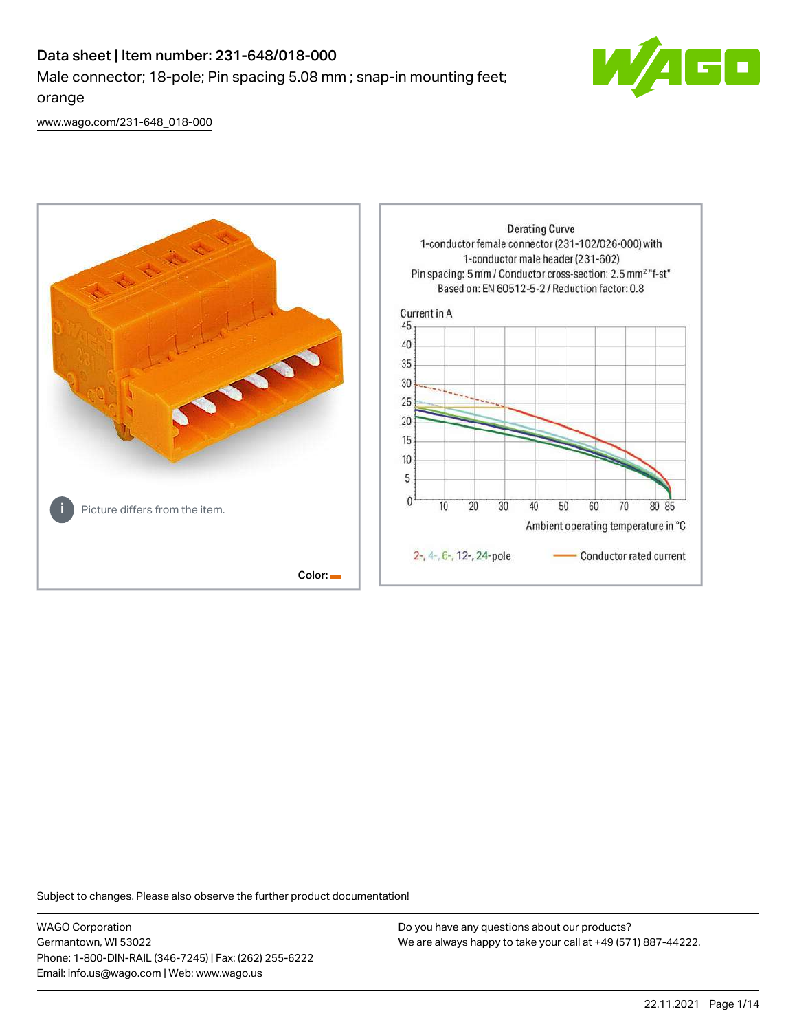# Data sheet | Item number: 231-648/018-000 Male connector; 18-pole; Pin spacing 5.08 mm ; snap-in mounting feet; orange



[www.wago.com/231-648\\_018-000](http://www.wago.com/231-648_018-000)



Subject to changes. Please also observe the further product documentation!

WAGO Corporation Germantown, WI 53022 Phone: 1-800-DIN-RAIL (346-7245) | Fax: (262) 255-6222 Email: info.us@wago.com | Web: www.wago.us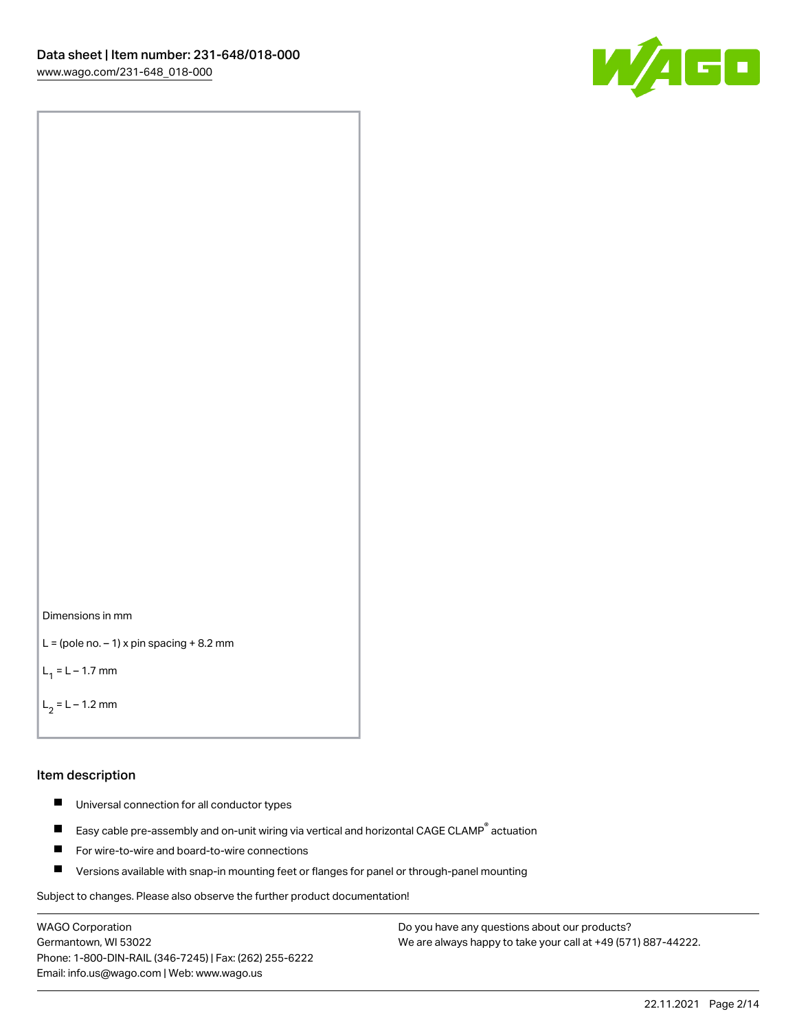



```
L = (pole no. -1) x pin spacing +8.2 mm
```
 $L_1 = L - 1.7$  mm

 $L_2 = L - 1.2$  mm

#### Item description

- $\blacksquare$ Universal connection for all conductor types
- Easy cable pre-assembly and on-unit wiring via vertical and horizontal CAGE CLAMP<sup>®</sup> actuation  $\blacksquare$
- $\blacksquare$ For wire-to-wire and board-to-wire connections
- $\blacksquare$ Versions available with snap-in mounting feet or flanges for panel or through-panel mounting

Subject to changes. Please also observe the further product documentation!

WAGO Corporation Germantown, WI 53022 Phone: 1-800-DIN-RAIL (346-7245) | Fax: (262) 255-6222 Email: info.us@wago.com | Web: www.wago.us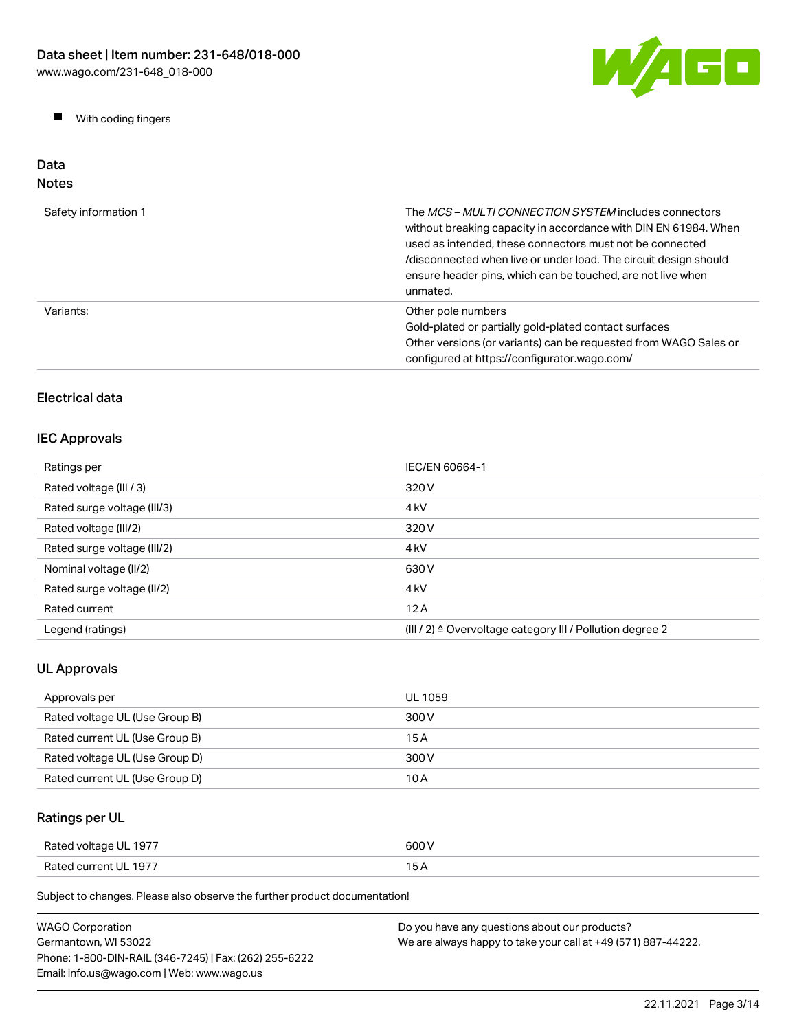

 $\blacksquare$ With coding fingers

#### Data Notes

| Safety information 1 | The <i>MCS – MULTI CONNECTION SYSTEM</i> includes connectors<br>without breaking capacity in accordance with DIN EN 61984. When<br>used as intended, these connectors must not be connected<br>/disconnected when live or under load. The circuit design should<br>ensure header pins, which can be touched, are not live when<br>unmated. |
|----------------------|--------------------------------------------------------------------------------------------------------------------------------------------------------------------------------------------------------------------------------------------------------------------------------------------------------------------------------------------|
| Variants:            | Other pole numbers<br>Gold-plated or partially gold-plated contact surfaces<br>Other versions (or variants) can be requested from WAGO Sales or<br>configured at https://configurator.wago.com/                                                                                                                                            |

# Electrical data

# IEC Approvals

| Ratings per                 | IEC/EN 60664-1                                                       |
|-----------------------------|----------------------------------------------------------------------|
| Rated voltage (III / 3)     | 320 V                                                                |
| Rated surge voltage (III/3) | 4 <sub>kV</sub>                                                      |
| Rated voltage (III/2)       | 320 V                                                                |
| Rated surge voltage (III/2) | 4 <sub>k</sub> V                                                     |
| Nominal voltage (II/2)      | 630 V                                                                |
| Rated surge voltage (II/2)  | 4 <sub>k</sub> V                                                     |
| Rated current               | 12A                                                                  |
| Legend (ratings)            | (III / 2) $\triangleq$ Overvoltage category III / Pollution degree 2 |

# UL Approvals

| Approvals per                  | UL 1059 |
|--------------------------------|---------|
| Rated voltage UL (Use Group B) | 300 V   |
| Rated current UL (Use Group B) | 15 A    |
| Rated voltage UL (Use Group D) | 300 V   |
| Rated current UL (Use Group D) | 10 A    |

# Ratings per UL

| Rated voltage UL 1977 | 600 V |
|-----------------------|-------|
| Rated current UL 1977 |       |

| <b>WAGO Corporation</b>                                | Do you have any questions about our products?                 |
|--------------------------------------------------------|---------------------------------------------------------------|
| Germantown. WI 53022                                   | We are always happy to take your call at +49 (571) 887-44222. |
| Phone: 1-800-DIN-RAIL (346-7245)   Fax: (262) 255-6222 |                                                               |
| Email: info.us@wago.com   Web: www.wago.us             |                                                               |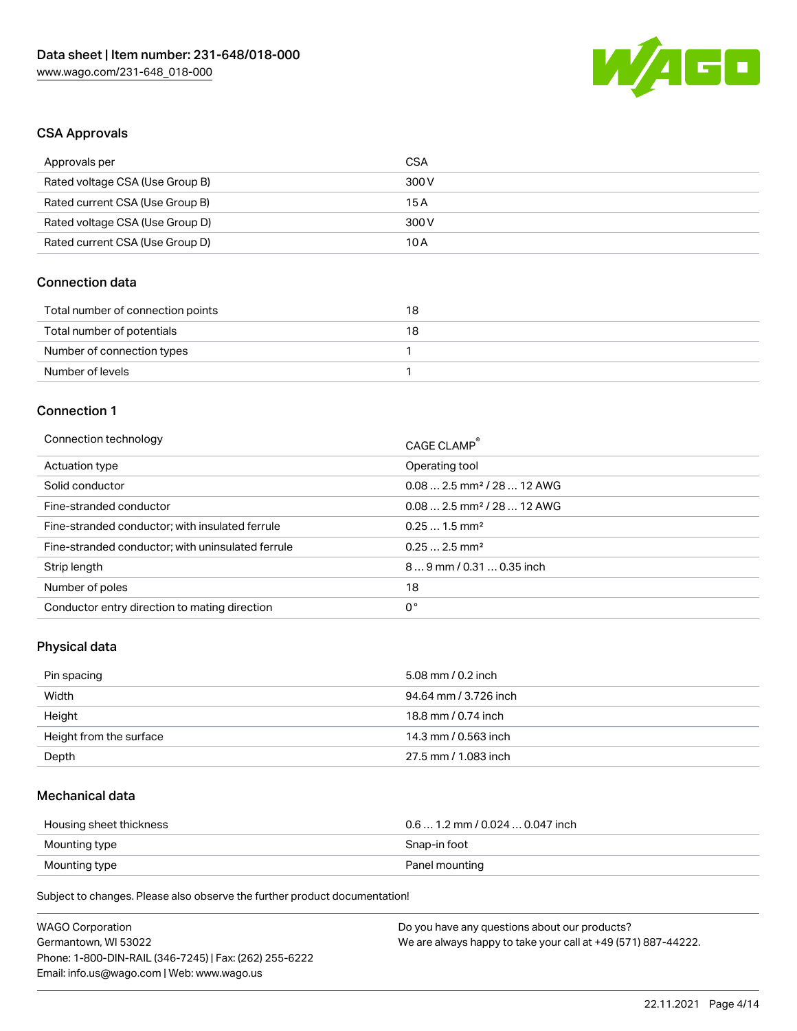

## CSA Approvals

| Approvals per                   | CSA   |
|---------------------------------|-------|
| Rated voltage CSA (Use Group B) | 300 V |
| Rated current CSA (Use Group B) | 15 A  |
| Rated voltage CSA (Use Group D) | 300 V |
| Rated current CSA (Use Group D) | 10 A  |

## Connection data

| Total number of connection points | 18 |
|-----------------------------------|----|
| Total number of potentials        | 18 |
| Number of connection types        |    |
| Number of levels                  |    |

#### Connection 1

| Connection technology                             | CAGE CLAMP®                            |
|---------------------------------------------------|----------------------------------------|
| Actuation type                                    | Operating tool                         |
| Solid conductor                                   | $0.082.5$ mm <sup>2</sup> / 28  12 AWG |
| Fine-stranded conductor                           | $0.082.5$ mm <sup>2</sup> / 28  12 AWG |
| Fine-stranded conductor; with insulated ferrule   | $0.251.5$ mm <sup>2</sup>              |
| Fine-stranded conductor; with uninsulated ferrule | $0.252.5$ mm <sup>2</sup>              |
| Strip length                                      | $89$ mm / 0.31  0.35 inch              |
| Number of poles                                   | 18                                     |
| Conductor entry direction to mating direction     | 0°                                     |

# Physical data

| Pin spacing             | 5.08 mm / 0.2 inch    |
|-------------------------|-----------------------|
| Width                   | 94.64 mm / 3.726 inch |
| Height                  | 18.8 mm / 0.74 inch   |
| Height from the surface | 14.3 mm / 0.563 inch  |
| Depth                   | 27.5 mm / 1.083 inch  |

## Mechanical data

| Housing sheet thickness | $0.6$ 1.2 mm / 0.024 $$ 0.047 inch |
|-------------------------|------------------------------------|
| Mounting type           | Snap-in foot                       |
| Mounting type           | Panel mounting                     |

| <b>WAGO Corporation</b>                                | Do you have any questions about our products?                 |
|--------------------------------------------------------|---------------------------------------------------------------|
| Germantown, WI 53022                                   | We are always happy to take your call at +49 (571) 887-44222. |
| Phone: 1-800-DIN-RAIL (346-7245)   Fax: (262) 255-6222 |                                                               |
| Email: info.us@wago.com   Web: www.wago.us             |                                                               |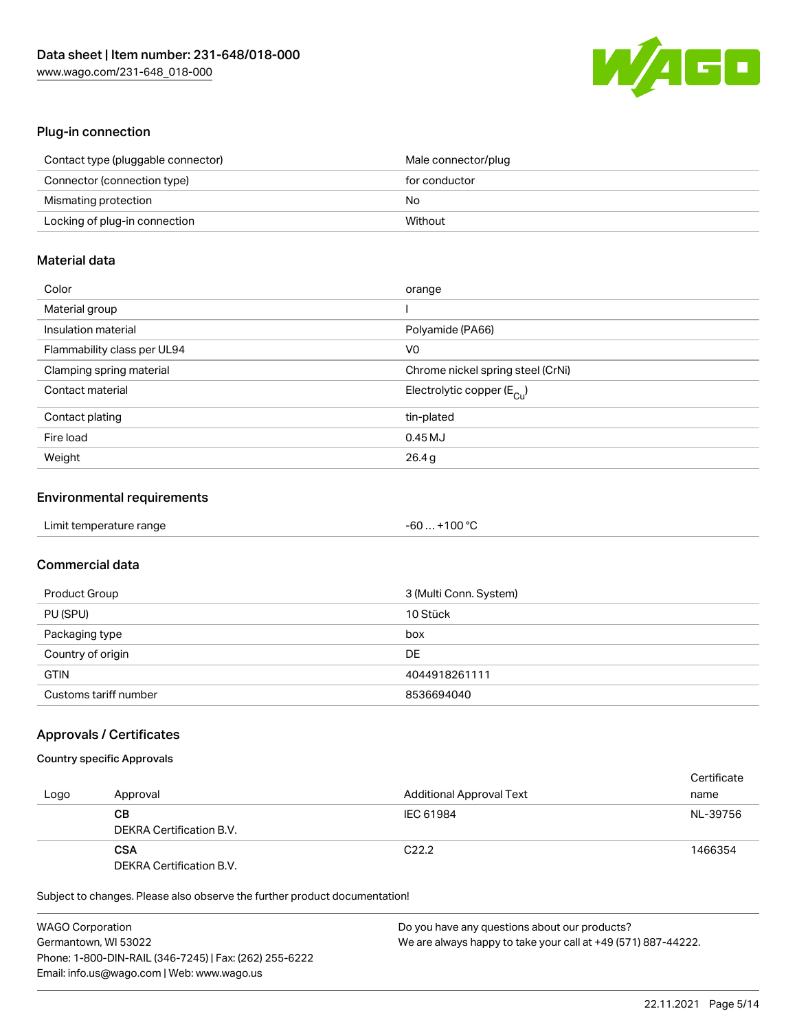

## Plug-in connection

| Contact type (pluggable connector) | Male connector/plug |
|------------------------------------|---------------------|
| Connector (connection type)        | for conductor       |
| Mismating protection               | No                  |
| Locking of plug-in connection      | Without             |

## Material data

| Color                       | orange                                  |
|-----------------------------|-----------------------------------------|
| Material group              |                                         |
| Insulation material         | Polyamide (PA66)                        |
| Flammability class per UL94 | V0                                      |
| Clamping spring material    | Chrome nickel spring steel (CrNi)       |
| Contact material            | Electrolytic copper ( $E_{\text{Cu}}$ ) |
| Contact plating             | tin-plated                              |
| Fire load                   | $0.45$ MJ                               |
| Weight                      | 26.4g                                   |

## Environmental requirements

| Limit temperature range | -60  +100 °C |  |
|-------------------------|--------------|--|
|-------------------------|--------------|--|

# Commercial data

| Product Group         | 3 (Multi Conn. System) |
|-----------------------|------------------------|
| PU (SPU)              | 10 Stück               |
| Packaging type        | box                    |
| Country of origin     | DE                     |
| <b>GTIN</b>           | 4044918261111          |
| Customs tariff number | 8536694040             |

## Approvals / Certificates

## Country specific Approvals

| Logo | Approval                               | <b>Additional Approval Text</b> | Certificate<br>name |
|------|----------------------------------------|---------------------------------|---------------------|
|      | CВ<br>DEKRA Certification B.V.         | IEC 61984                       | NL-39756            |
|      | <b>CSA</b><br>DEKRA Certification B.V. | C <sub>22.2</sub>               | 1466354             |

| <b>WAGO Corporation</b>                                | Do you have any questions about our products?                 |
|--------------------------------------------------------|---------------------------------------------------------------|
| Germantown, WI 53022                                   | We are always happy to take your call at +49 (571) 887-44222. |
| Phone: 1-800-DIN-RAIL (346-7245)   Fax: (262) 255-6222 |                                                               |
| Email: info.us@wago.com   Web: www.wago.us             |                                                               |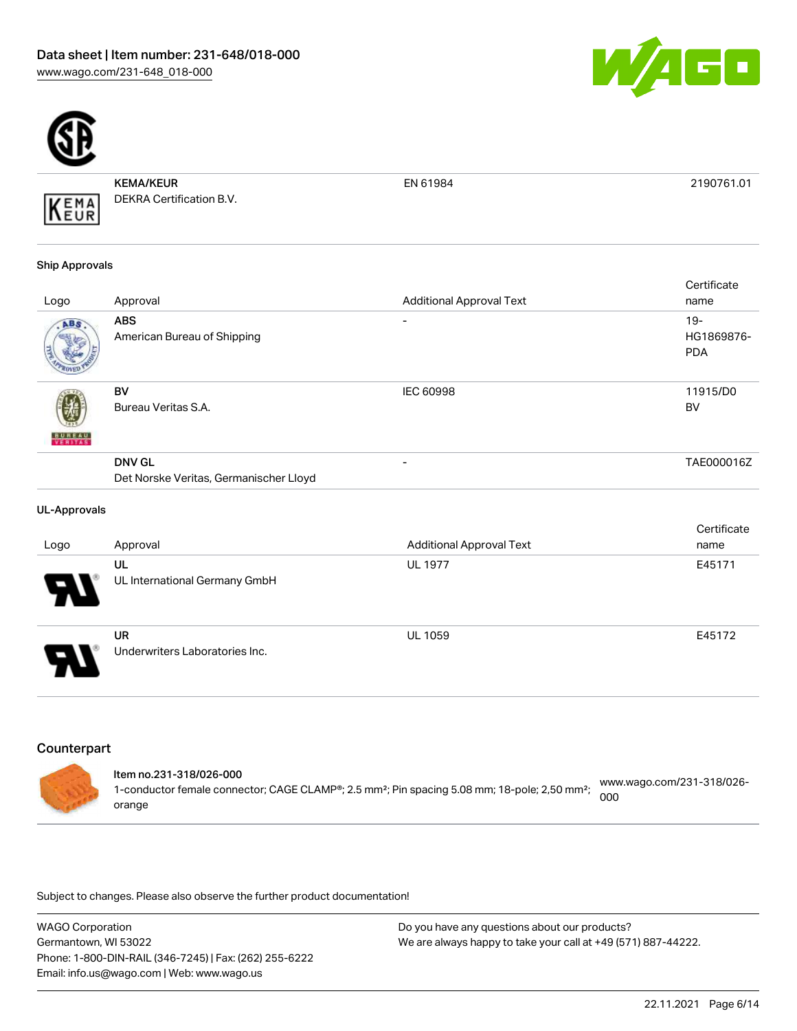



KEMA/KEUR DEKRA Certification B.V.

EN 61984 2190761.01

#### Ship Approvals

KEMA

|               |                                                         |                                 | Certificate                        |
|---------------|---------------------------------------------------------|---------------------------------|------------------------------------|
| Logo          | Approval                                                | <b>Additional Approval Text</b> | name                               |
| ABS.          | <b>ABS</b><br>American Bureau of Shipping               | ۰                               | $19 -$<br>HG1869876-<br><b>PDA</b> |
| <b>BUREAU</b> | BV<br>Bureau Veritas S.A.                               | <b>IEC 60998</b>                | 11915/D0<br><b>BV</b>              |
|               | <b>DNV GL</b><br>Det Norske Veritas, Germanischer Lloyd | ۰                               | TAE000016Z                         |

#### UL-Approvals

|                            |                                             |                                 | Certificate |
|----------------------------|---------------------------------------------|---------------------------------|-------------|
| Logo                       | Approval                                    | <b>Additional Approval Text</b> | name        |
| 8                          | UL<br>UL International Germany GmbH         | <b>UL 1977</b>                  | E45171      |
| $\boldsymbol{\mathcal{F}}$ | <b>UR</b><br>Underwriters Laboratories Inc. | <b>UL 1059</b>                  | E45172      |

## **Counterpart**

|  | ltem no.231-318/026-000<br>1-conductor female connector; CAGE CLAMP®; 2.5 mm <sup>2</sup> ; Pin spacing 5.08 mm; 18-pole; 2,50 mm <sup>2</sup> ;<br>orange | www.wago.com/231-318/026-<br>000 |
|--|------------------------------------------------------------------------------------------------------------------------------------------------------------|----------------------------------|
|--|------------------------------------------------------------------------------------------------------------------------------------------------------------|----------------------------------|

| WAGO Corporation                                       | Do you have any questions about our products?                 |
|--------------------------------------------------------|---------------------------------------------------------------|
| Germantown, WI 53022                                   | We are always happy to take your call at +49 (571) 887-44222. |
| Phone: 1-800-DIN-RAIL (346-7245)   Fax: (262) 255-6222 |                                                               |
| Email: info.us@wago.com   Web: www.wago.us             |                                                               |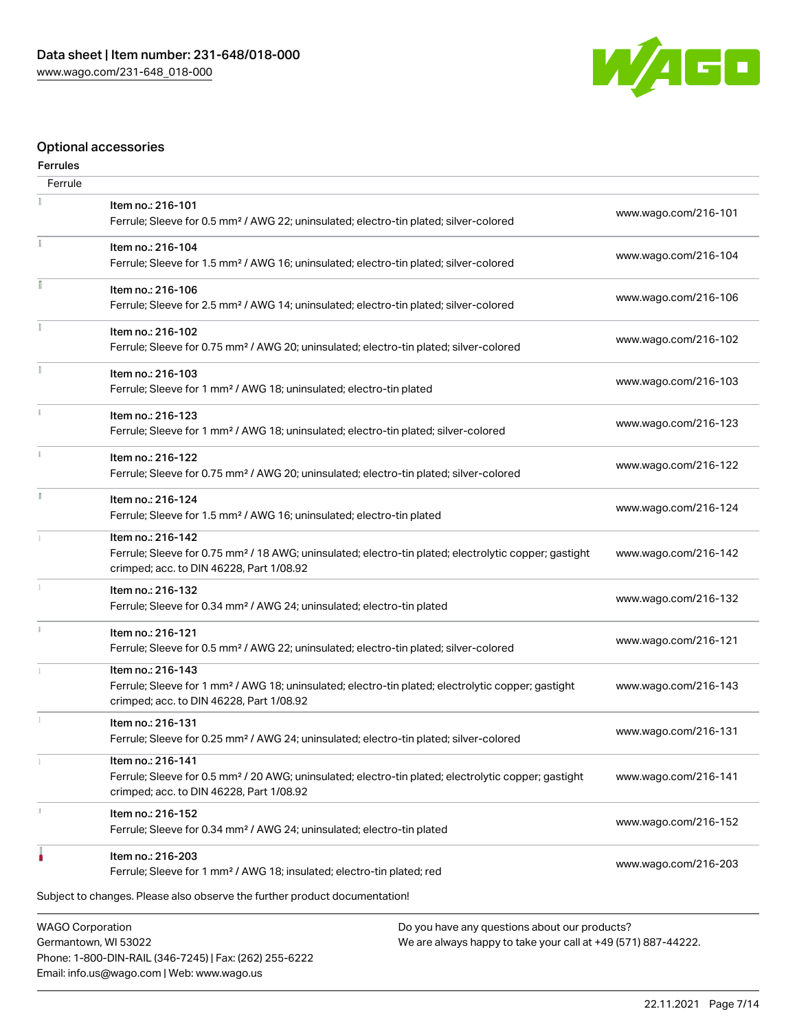Phone: 1-800-DIN-RAIL (346-7245) | Fax: (262) 255-6222

Email: info.us@wago.com | Web: www.wago.us



# Optional accessories

#### Ferrules

| Ferrule                                                                                                                                                           |                                                                                                                                                                                    |  |                      |
|-------------------------------------------------------------------------------------------------------------------------------------------------------------------|------------------------------------------------------------------------------------------------------------------------------------------------------------------------------------|--|----------------------|
|                                                                                                                                                                   | Item no.: 216-101<br>Ferrule; Sleeve for 0.5 mm <sup>2</sup> / AWG 22; uninsulated; electro-tin plated; silver-colored                                                             |  | www.wago.com/216-101 |
| ī.                                                                                                                                                                | Item no.: 216-104<br>Ferrule; Sleeve for 1.5 mm <sup>2</sup> / AWG 16; uninsulated; electro-tin plated; silver-colored                                                             |  | www.wago.com/216-104 |
|                                                                                                                                                                   | Item no.: 216-106<br>Ferrule; Sleeve for 2.5 mm <sup>2</sup> / AWG 14; uninsulated; electro-tin plated; silver-colored                                                             |  | www.wago.com/216-106 |
|                                                                                                                                                                   | Item no.: 216-102<br>Ferrule; Sleeve for 0.75 mm <sup>2</sup> / AWG 20; uninsulated; electro-tin plated; silver-colored                                                            |  | www.wago.com/216-102 |
|                                                                                                                                                                   | Item no.: 216-103<br>Ferrule; Sleeve for 1 mm <sup>2</sup> / AWG 18; uninsulated; electro-tin plated                                                                               |  | www.wago.com/216-103 |
|                                                                                                                                                                   | Item no.: 216-123<br>Ferrule; Sleeve for 1 mm <sup>2</sup> / AWG 18; uninsulated; electro-tin plated; silver-colored                                                               |  | www.wago.com/216-123 |
| $\mathbf{1}$                                                                                                                                                      | Item no.: 216-122<br>Ferrule; Sleeve for 0.75 mm <sup>2</sup> / AWG 20; uninsulated; electro-tin plated; silver-colored                                                            |  | www.wago.com/216-122 |
|                                                                                                                                                                   | Item no.: 216-124<br>Ferrule; Sleeve for 1.5 mm <sup>2</sup> / AWG 16; uninsulated; electro-tin plated                                                                             |  | www.wago.com/216-124 |
|                                                                                                                                                                   | Item no.: 216-142<br>Ferrule; Sleeve for 0.75 mm <sup>2</sup> / 18 AWG; uninsulated; electro-tin plated; electrolytic copper; gastight<br>crimped; acc. to DIN 46228, Part 1/08.92 |  | www.wago.com/216-142 |
|                                                                                                                                                                   | Item no.: 216-132<br>Ferrule; Sleeve for 0.34 mm <sup>2</sup> / AWG 24; uninsulated; electro-tin plated                                                                            |  | www.wago.com/216-132 |
|                                                                                                                                                                   | Item no.: 216-121<br>Ferrule; Sleeve for 0.5 mm <sup>2</sup> / AWG 22; uninsulated; electro-tin plated; silver-colored                                                             |  | www.wago.com/216-121 |
|                                                                                                                                                                   | Item no.: 216-143<br>Ferrule; Sleeve for 1 mm <sup>2</sup> / AWG 18; uninsulated; electro-tin plated; electrolytic copper; gastight<br>crimped; acc. to DIN 46228, Part 1/08.92    |  | www.wago.com/216-143 |
|                                                                                                                                                                   | Item no.: 216-131<br>Ferrule; Sleeve for 0.25 mm <sup>2</sup> / AWG 24; uninsulated; electro-tin plated; silver-colored                                                            |  | www.wago.com/216-131 |
|                                                                                                                                                                   | Item no.: 216-141<br>Ferrule; Sleeve for 0.5 mm <sup>2</sup> / 20 AWG; uninsulated; electro-tin plated; electrolytic copper; gastight<br>crimped; acc. to DIN 46228, Part 1/08.92  |  | www.wago.com/216-141 |
|                                                                                                                                                                   | Item no.: 216-152<br>Ferrule; Sleeve for 0.34 mm <sup>2</sup> / AWG 24; uninsulated; electro-tin plated                                                                            |  | www.wago.com/216-152 |
|                                                                                                                                                                   | Item no.: 216-203<br>Ferrule; Sleeve for 1 mm <sup>2</sup> / AWG 18; insulated; electro-tin plated; red                                                                            |  | www.wago.com/216-203 |
|                                                                                                                                                                   | Subject to changes. Please also observe the further product documentation!                                                                                                         |  |                      |
| <b>WAGO Corporation</b><br>Do you have any questions about our products?<br>Germantown, WI 53022<br>We are always happy to take your call at +49 (571) 887-44222. |                                                                                                                                                                                    |  |                      |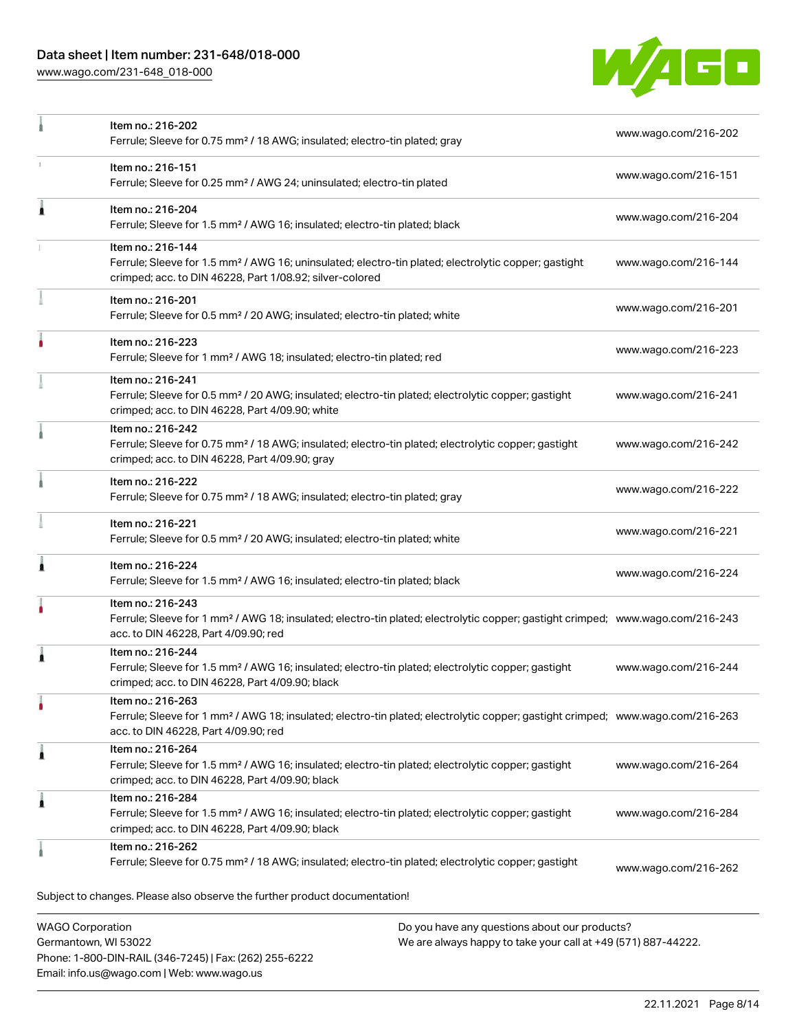# Data sheet | Item number: 231-648/018-000

[www.wago.com/231-648\\_018-000](http://www.wago.com/231-648_018-000)

Email: info.us@wago.com | Web: www.wago.us



|                                                 | Item no.: 216-202<br>Ferrule; Sleeve for 0.75 mm <sup>2</sup> / 18 AWG; insulated; electro-tin plated; gray                                                                                             |                                                                                                                | www.wago.com/216-202 |
|-------------------------------------------------|---------------------------------------------------------------------------------------------------------------------------------------------------------------------------------------------------------|----------------------------------------------------------------------------------------------------------------|----------------------|
|                                                 | Item no.: 216-151<br>Ferrule; Sleeve for 0.25 mm <sup>2</sup> / AWG 24; uninsulated; electro-tin plated                                                                                                 |                                                                                                                | www.wago.com/216-151 |
| 1                                               | Item no.: 216-204<br>Ferrule; Sleeve for 1.5 mm <sup>2</sup> / AWG 16; insulated; electro-tin plated; black                                                                                             |                                                                                                                | www.wago.com/216-204 |
|                                                 | Item no.: 216-144<br>Ferrule; Sleeve for 1.5 mm <sup>2</sup> / AWG 16; uninsulated; electro-tin plated; electrolytic copper; gastight<br>crimped; acc. to DIN 46228, Part 1/08.92; silver-colored       |                                                                                                                | www.wago.com/216-144 |
|                                                 | Item no.: 216-201<br>Ferrule; Sleeve for 0.5 mm <sup>2</sup> / 20 AWG; insulated; electro-tin plated; white                                                                                             |                                                                                                                | www.wago.com/216-201 |
|                                                 | Item no.: 216-223<br>Ferrule; Sleeve for 1 mm <sup>2</sup> / AWG 18; insulated; electro-tin plated; red                                                                                                 |                                                                                                                | www.wago.com/216-223 |
|                                                 | Item no.: 216-241<br>Ferrule; Sleeve for 0.5 mm <sup>2</sup> / 20 AWG; insulated; electro-tin plated; electrolytic copper; gastight<br>crimped; acc. to DIN 46228, Part 4/09.90; white                  |                                                                                                                | www.wago.com/216-241 |
|                                                 | Item no.: 216-242<br>Ferrule; Sleeve for 0.75 mm <sup>2</sup> / 18 AWG; insulated; electro-tin plated; electrolytic copper; gastight<br>crimped; acc. to DIN 46228, Part 4/09.90; gray                  |                                                                                                                | www.wago.com/216-242 |
|                                                 | Item no.: 216-222<br>Ferrule; Sleeve for 0.75 mm <sup>2</sup> / 18 AWG; insulated; electro-tin plated; gray                                                                                             |                                                                                                                | www.wago.com/216-222 |
|                                                 | Item no.: 216-221<br>Ferrule; Sleeve for 0.5 mm <sup>2</sup> / 20 AWG; insulated; electro-tin plated; white                                                                                             |                                                                                                                | www.wago.com/216-221 |
| ٨                                               | Item no.: 216-224<br>Ferrule; Sleeve for 1.5 mm <sup>2</sup> / AWG 16; insulated; electro-tin plated; black                                                                                             |                                                                                                                | www.wago.com/216-224 |
|                                                 | Item no.: 216-243<br>Ferrule; Sleeve for 1 mm <sup>2</sup> / AWG 18; insulated; electro-tin plated; electrolytic copper; gastight crimped; www.wago.com/216-243<br>acc. to DIN 46228, Part 4/09.90; red |                                                                                                                |                      |
|                                                 | Item no.: 216-244<br>Ferrule; Sleeve for 1.5 mm <sup>2</sup> / AWG 16; insulated; electro-tin plated; electrolytic copper; gastight<br>crimped; acc. to DIN 46228, Part 4/09.90; black                  |                                                                                                                | www.wago.com/216-244 |
| ٠                                               | Item no.: 216-263<br>Ferrule; Sleeve for 1 mm <sup>2</sup> / AWG 18; insulated; electro-tin plated; electrolytic copper; gastight crimped; www.wago.com/216-263<br>acc. to DIN 46228, Part 4/09.90; red |                                                                                                                |                      |
| Â                                               | Item no.: 216-264<br>Ferrule; Sleeve for 1.5 mm <sup>2</sup> / AWG 16; insulated; electro-tin plated; electrolytic copper; gastight<br>crimped; acc. to DIN 46228, Part 4/09.90; black                  |                                                                                                                | www.wago.com/216-264 |
| Â                                               | Item no.: 216-284<br>Ferrule; Sleeve for 1.5 mm <sup>2</sup> / AWG 16; insulated; electro-tin plated; electrolytic copper; gastight<br>crimped; acc. to DIN 46228, Part 4/09.90; black                  |                                                                                                                | www.wago.com/216-284 |
|                                                 | Item no.: 216-262<br>Ferrule; Sleeve for 0.75 mm <sup>2</sup> / 18 AWG; insulated; electro-tin plated; electrolytic copper; gastight                                                                    |                                                                                                                | www.wago.com/216-262 |
|                                                 | Subject to changes. Please also observe the further product documentation!                                                                                                                              |                                                                                                                |                      |
| <b>WAGO Corporation</b><br>Germantown, WI 53022 | Phone: 1-800-DIN-RAIL (346-7245)   Fax: (262) 255-6222                                                                                                                                                  | Do you have any questions about our products?<br>We are always happy to take your call at +49 (571) 887-44222. |                      |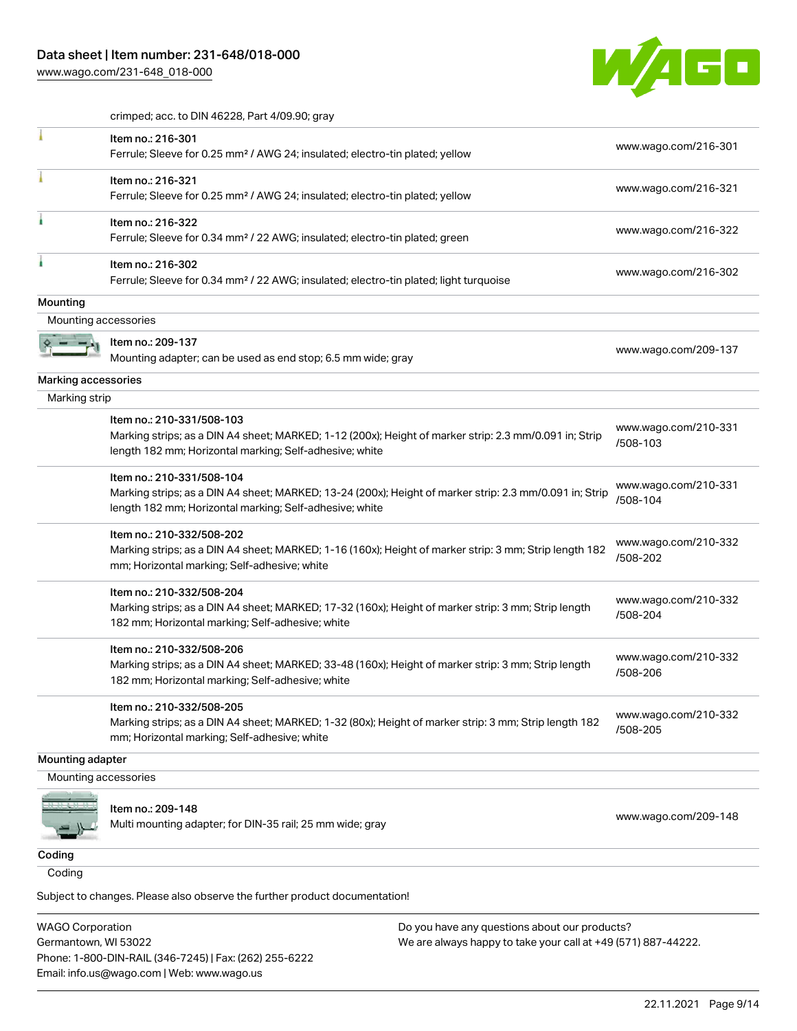[www.wago.com/231-648\\_018-000](http://www.wago.com/231-648_018-000)



crimped; acc. to DIN 46228, Part 4/09.90; gray

|                      | Item no.: 216-301<br>Ferrule; Sleeve for 0.25 mm <sup>2</sup> / AWG 24; insulated; electro-tin plated; yellow                                                                                   | www.wago.com/216-301             |
|----------------------|-------------------------------------------------------------------------------------------------------------------------------------------------------------------------------------------------|----------------------------------|
|                      | Item no.: 216-321<br>Ferrule; Sleeve for 0.25 mm <sup>2</sup> / AWG 24; insulated; electro-tin plated; yellow                                                                                   | www.wago.com/216-321             |
|                      | Item no.: 216-322<br>Ferrule; Sleeve for 0.34 mm <sup>2</sup> / 22 AWG; insulated; electro-tin plated; green                                                                                    | www.wago.com/216-322             |
|                      | Item no.: 216-302<br>Ferrule; Sleeve for 0.34 mm <sup>2</sup> / 22 AWG; insulated; electro-tin plated; light turquoise                                                                          | www.wago.com/216-302             |
| Mounting             |                                                                                                                                                                                                 |                                  |
| Mounting accessories |                                                                                                                                                                                                 |                                  |
|                      | Item no.: 209-137<br>Mounting adapter; can be used as end stop; 6.5 mm wide; gray                                                                                                               | www.wago.com/209-137             |
| Marking accessories  |                                                                                                                                                                                                 |                                  |
| Marking strip        |                                                                                                                                                                                                 |                                  |
|                      | Item no.: 210-331/508-103<br>Marking strips; as a DIN A4 sheet; MARKED; 1-12 (200x); Height of marker strip: 2.3 mm/0.091 in; Strip<br>length 182 mm; Horizontal marking; Self-adhesive; white  | www.wago.com/210-331<br>/508-103 |
|                      | Item no.: 210-331/508-104<br>Marking strips; as a DIN A4 sheet; MARKED; 13-24 (200x); Height of marker strip: 2.3 mm/0.091 in; Strip<br>length 182 mm; Horizontal marking; Self-adhesive; white | www.wago.com/210-331<br>/508-104 |
|                      | Item no.: 210-332/508-202<br>Marking strips; as a DIN A4 sheet; MARKED; 1-16 (160x); Height of marker strip: 3 mm; Strip length 182<br>mm; Horizontal marking; Self-adhesive; white             | www.wago.com/210-332<br>/508-202 |
|                      | Item no.: 210-332/508-204<br>Marking strips; as a DIN A4 sheet; MARKED; 17-32 (160x); Height of marker strip: 3 mm; Strip length<br>182 mm; Horizontal marking; Self-adhesive; white            | www.wago.com/210-332<br>/508-204 |
|                      | Item no.: 210-332/508-206<br>Marking strips; as a DIN A4 sheet; MARKED; 33-48 (160x); Height of marker strip: 3 mm; Strip length<br>182 mm; Horizontal marking; Self-adhesive; white            | www.wago.com/210-332<br>/508-206 |
|                      | Item no.: 210-332/508-205<br>Marking strips; as a DIN A4 sheet; MARKED; 1-32 (80x); Height of marker strip: 3 mm; Strip length 182<br>mm; Horizontal marking; Self-adhesive; white              | www.wago.com/210-332<br>/508-205 |
| Mounting adapter     |                                                                                                                                                                                                 |                                  |
| Mounting accessories |                                                                                                                                                                                                 |                                  |
|                      | Item no.: 209-148<br>Multi mounting adapter; for DIN-35 rail; 25 mm wide; gray                                                                                                                  | www.wago.com/209-148             |
| Coding               |                                                                                                                                                                                                 |                                  |
| Coding               |                                                                                                                                                                                                 |                                  |

Subject to changes. Please also observe the further product documentation!

WAGO Corporation Germantown, WI 53022 Phone: 1-800-DIN-RAIL (346-7245) | Fax: (262) 255-6222 Email: info.us@wago.com | Web: www.wago.us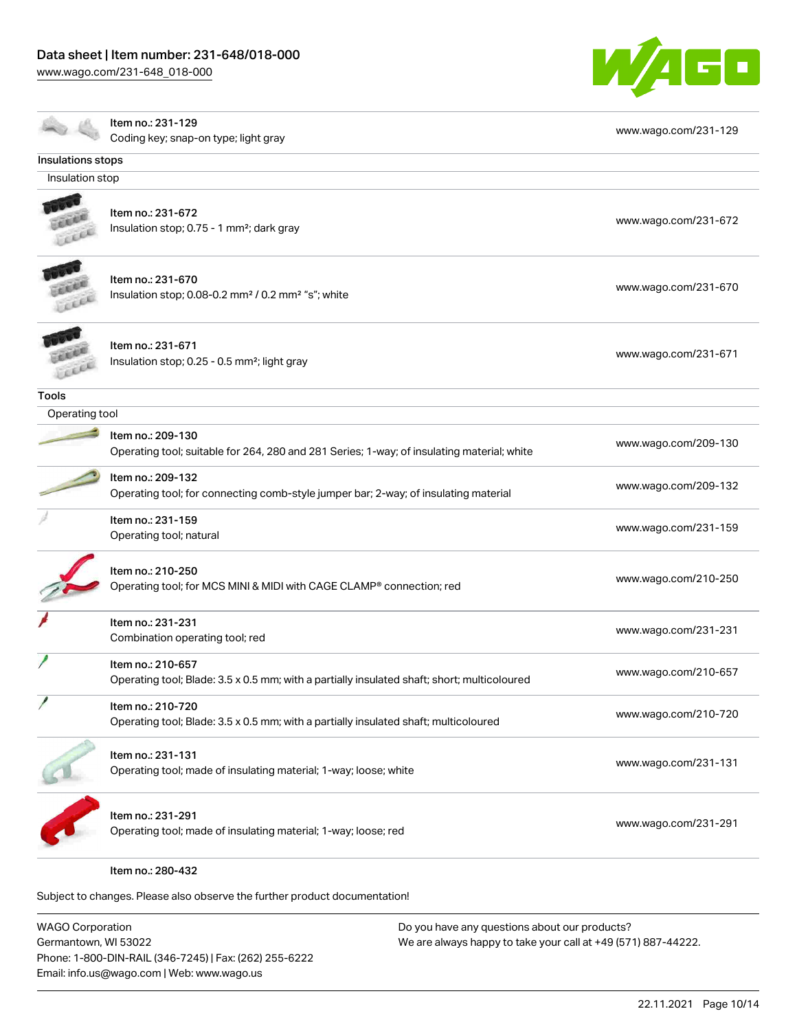[www.wago.com/231-648\\_018-000](http://www.wago.com/231-648_018-000)



|                   | Item no.: 231-129                                                                           | www.wago.com/231-129 |
|-------------------|---------------------------------------------------------------------------------------------|----------------------|
|                   | Coding key; snap-on type; light gray                                                        |                      |
| Insulations stops |                                                                                             |                      |
| Insulation stop   |                                                                                             |                      |
|                   |                                                                                             |                      |
|                   | Item no.: 231-672                                                                           | www.wago.com/231-672 |
|                   | Insulation stop; 0.75 - 1 mm <sup>2</sup> ; dark gray                                       |                      |
|                   | Item no.: 231-670                                                                           |                      |
|                   | Insulation stop; 0.08-0.2 mm <sup>2</sup> / 0.2 mm <sup>2</sup> "s"; white                  | www.wago.com/231-670 |
|                   |                                                                                             |                      |
|                   | Item no.: 231-671                                                                           |                      |
|                   | Insulation stop; 0.25 - 0.5 mm <sup>2</sup> ; light gray                                    | www.wago.com/231-671 |
|                   |                                                                                             |                      |
| <b>Tools</b>      |                                                                                             |                      |
| Operating tool    |                                                                                             |                      |
|                   | Item no.: 209-130                                                                           | www.wago.com/209-130 |
|                   | Operating tool; suitable for 264, 280 and 281 Series; 1-way; of insulating material; white  |                      |
|                   | Item no.: 209-132                                                                           |                      |
|                   | Operating tool; for connecting comb-style jumper bar; 2-way; of insulating material         | www.wago.com/209-132 |
|                   | Item no.: 231-159                                                                           |                      |
|                   | Operating tool; natural                                                                     | www.wago.com/231-159 |
|                   | Item no.: 210-250                                                                           |                      |
|                   | Operating tool; for MCS MINI & MIDI with CAGE CLAMP® connection; red                        | www.wago.com/210-250 |
|                   |                                                                                             |                      |
|                   | Item no.: 231-231                                                                           | www.wago.com/231-231 |
|                   | Combination operating tool; red                                                             |                      |
|                   | Item no.: 210-657                                                                           |                      |
|                   | Operating tool; Blade: 3.5 x 0.5 mm; with a partially insulated shaft; short; multicoloured | www.wago.com/210-657 |
|                   | Item no.: 210-720                                                                           |                      |
|                   | Operating tool; Blade: 3.5 x 0.5 mm; with a partially insulated shaft; multicoloured        | www.wago.com/210-720 |
|                   | Item no.: 231-131                                                                           |                      |
|                   | Operating tool; made of insulating material; 1-way; loose; white                            | www.wago.com/231-131 |
|                   | Item no.: 231-291                                                                           |                      |
|                   | Operating tool; made of insulating material; 1-way; loose; red                              | www.wago.com/231-291 |
|                   |                                                                                             |                      |
|                   | Item no.: 280-432                                                                           |                      |

Subject to changes. Please also observe the further product documentation!

WAGO Corporation Germantown, WI 53022 Phone: 1-800-DIN-RAIL (346-7245) | Fax: (262) 255-6222 Email: info.us@wago.com | Web: www.wago.us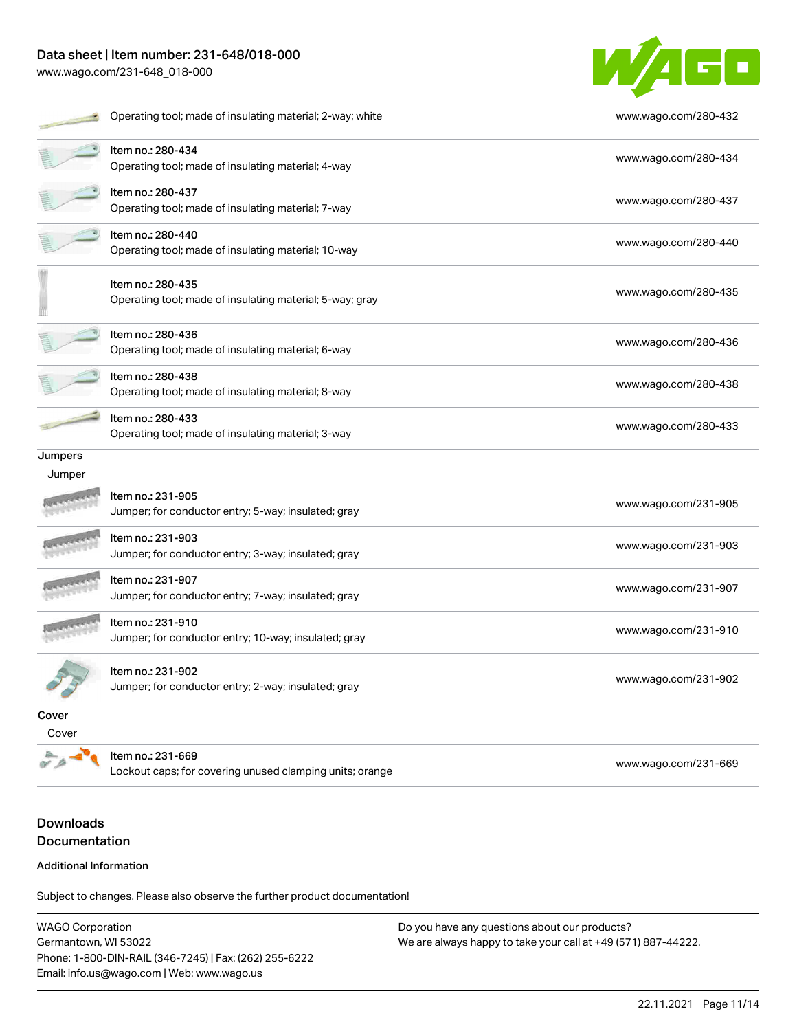# Data sheet | Item number: 231-648/018-000

[www.wago.com/231-648\\_018-000](http://www.wago.com/231-648_018-000)



|         | Operating tool; made of insulating material; 2-way; white                     | www.wago.com/280-432 |
|---------|-------------------------------------------------------------------------------|----------------------|
|         | Item no.: 280-434<br>Operating tool; made of insulating material; 4-way       | www.wago.com/280-434 |
|         | Item no.: 280-437<br>Operating tool; made of insulating material; 7-way       | www.wago.com/280-437 |
|         | Item no.: 280-440<br>Operating tool; made of insulating material; 10-way      | www.wago.com/280-440 |
|         | Item no.: 280-435<br>Operating tool; made of insulating material; 5-way; gray | www.wago.com/280-435 |
|         | Item no.: 280-436<br>Operating tool; made of insulating material; 6-way       | www.wago.com/280-436 |
|         | Item no.: 280-438<br>Operating tool; made of insulating material; 8-way       | www.wago.com/280-438 |
|         | Item no.: 280-433<br>Operating tool; made of insulating material; 3-way       | www.wago.com/280-433 |
| Jumpers |                                                                               |                      |
| Jumper  |                                                                               |                      |
|         | Item no.: 231-905<br>Jumper; for conductor entry; 5-way; insulated; gray      | www.wago.com/231-905 |
|         | Item no.: 231-903<br>Jumper; for conductor entry; 3-way; insulated; gray      | www.wago.com/231-903 |
|         | Item no.: 231-907<br>Jumper; for conductor entry; 7-way; insulated; gray      | www.wago.com/231-907 |
|         | Item no.: 231-910<br>Jumper; for conductor entry; 10-way; insulated; gray     | www.wago.com/231-910 |
|         | Item no.: 231-902<br>Jumper; for conductor entry; 2-way; insulated; gray      | www.wago.com/231-902 |
| Cover   |                                                                               |                      |
| Cover   |                                                                               |                      |

Item no.: 231-669

Lockout caps; for covering unused clamping units; orange [www.wago.com/231-669](http://www.wago.com/231-669)

# Downloads Documentation

#### Additional Information

Subject to changes. Please also observe the further product documentation!

WAGO Corporation Germantown, WI 53022 Phone: 1-800-DIN-RAIL (346-7245) | Fax: (262) 255-6222 Email: info.us@wago.com | Web: www.wago.us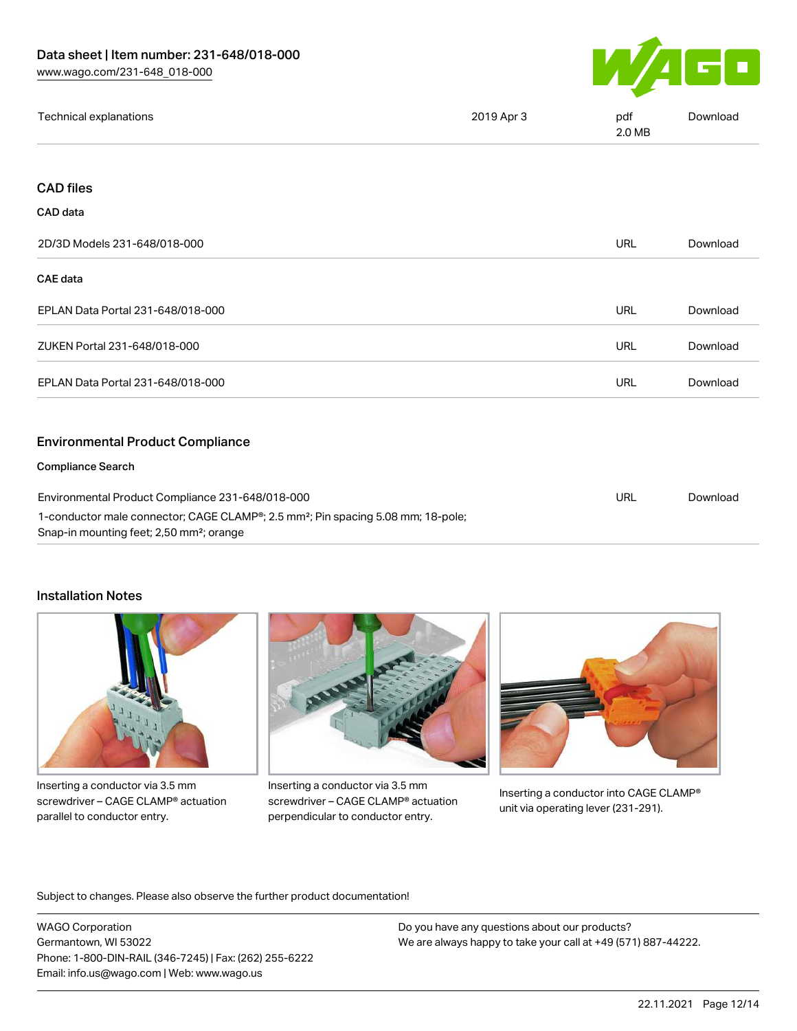

| Technical explanations | 2019 Apr 3 | pdf<br>2.0 MB | Download |
|------------------------|------------|---------------|----------|
|                        |            |               |          |

## CAD files

#### CAD data

| 2D/3D Models 231-648/018-000                                                                                                                                                                             | <b>URL</b> | Download |
|----------------------------------------------------------------------------------------------------------------------------------------------------------------------------------------------------------|------------|----------|
| <b>CAE</b> data                                                                                                                                                                                          |            |          |
| EPLAN Data Portal 231-648/018-000                                                                                                                                                                        | URL        | Download |
| ZUKEN Portal 231-648/018-000                                                                                                                                                                             | <b>URL</b> | Download |
| EPLAN Data Portal 231-648/018-000                                                                                                                                                                        | <b>URL</b> | Download |
| <b>Environmental Product Compliance</b>                                                                                                                                                                  |            |          |
| <b>Compliance Search</b>                                                                                                                                                                                 |            |          |
| Environmental Product Compliance 231-648/018-000<br>1-conductor male connector; CAGE CLAMP®; 2.5 mm <sup>2</sup> ; Pin spacing 5.08 mm; 18-pole;<br>Snap-in mounting feet; 2,50 mm <sup>2</sup> ; orange |            | Download |

#### Installation Notes



Inserting a conductor via 3.5 mm screwdriver – CAGE CLAMP® actuation parallel to conductor entry.



Inserting a conductor via 3.5 mm screwdriver – CAGE CLAMP® actuation perpendicular to conductor entry.



Inserting a conductor into CAGE CLAMP® unit via operating lever (231-291).

Subject to changes. Please also observe the further product documentation!

WAGO Corporation Germantown, WI 53022 Phone: 1-800-DIN-RAIL (346-7245) | Fax: (262) 255-6222 Email: info.us@wago.com | Web: www.wago.us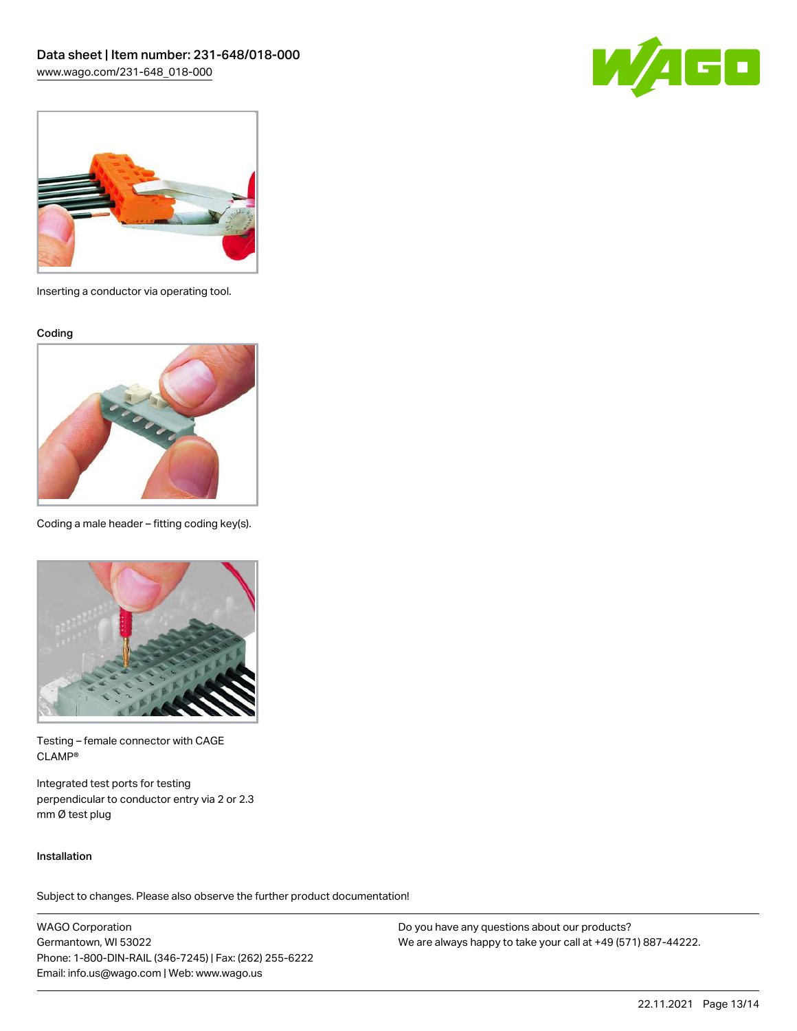



Inserting a conductor via operating tool.

Coding



Coding a male header – fitting coding key(s).



Testing – female connector with CAGE CLAMP®

Integrated test ports for testing perpendicular to conductor entry via 2 or 2.3 mm Ø test plug

#### Installation

Subject to changes. Please also observe the further product documentation!

WAGO Corporation Germantown, WI 53022 Phone: 1-800-DIN-RAIL (346-7245) | Fax: (262) 255-6222 Email: info.us@wago.com | Web: www.wago.us